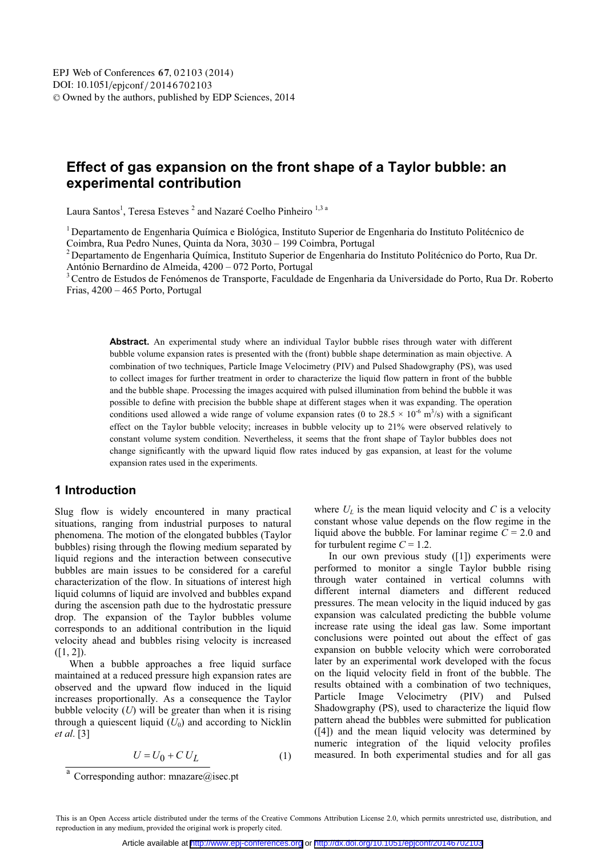# **Effect of gas expansion on the front shape of a Taylor bubble: an experimental contribution**

Laura Santos<sup>1</sup>, Teresa Esteves<sup>2</sup> and Nazaré Coelho Pinheiro<sup>1,3 a</sup>

1 Departamento de Engenharia Química e Biológica, Instituto Superior de Engenharia do Instituto Politécnico de Coimbra, Rua Pedro Nunes, Quinta da Nora, 3030 – 199 Coimbra, Portugal<br><sup>2</sup> Departamento de Engenharia Química, Instituto Superior de Engenharia do Instituto Politécnico do Porto, Rua Dr.

António Bernardino de Almeida, 4200 – 072 Porto, Portugal

<sup>3</sup> Centro de Estudos de Fenómenos de Transporte, Faculdade de Engenharia da Universidade do Porto, Rua Dr. Roberto Frias, 4200 – 465 Porto, Portugal

**Abstract.** An experimental study where an individual Taylor bubble rises through water with different bubble volume expansion rates is presented with the (front) bubble shape determination as main objective. A combination of two techniques, Particle Image Velocimetry (PIV) and Pulsed Shadowgraphy (PS), was used to collect images for further treatment in order to characterize the liquid flow pattern in front of the bubble and the bubble shape. Processing the images acquired with pulsed illumination from behind the bubble it was possible to define with precision the bubble shape at different stages when it was expanding. The operation conditions used allowed a wide range of volume expansion rates (0 to 28.5  $\times$  10<sup>-6</sup> m<sup>3</sup>/s) with a significant effect on the Taylor bubble velocity; increases in bubble velocity up to 21% were observed relatively to constant volume system condition. Nevertheless, it seems that the front shape of Taylor bubbles does not change significantly with the upward liquid flow rates induced by gas expansion, at least for the volume expansion rates used in the experiments.

## **1 Introduction**

Slug flow is widely encountered in many practical situations, ranging from industrial purposes to natural phenomena. The motion of the elongated bubbles (Taylor bubbles) rising through the flowing medium separated by liquid regions and the interaction between consecutive bubbles are main issues to be considered for a careful characterization of the flow. In situations of interest high liquid columns of liquid are involved and bubbles expand during the ascension path due to the hydrostatic pressure drop. The expansion of the Taylor bubbles volume corresponds to an additional contribution in the liquid velocity ahead and bubbles rising velocity is increased  $([1, 2])$ .

When a bubble approaches a free liquid surface maintained at a reduced pressure high expansion rates are observed and the upward flow induced in the liquid increases proportionally. As a consequence the Taylor bubble velocity (*U*) will be greater than when it is rising through a quiescent liquid  $(U_0)$  and according to Nicklin *et al*. [3]

$$
U = U_0 + C U_L \tag{1}
$$

where  $U_L$  is the mean liquid velocity and  $C$  is a velocity constant whose value depends on the flow regime in the liquid above the bubble. For laminar regime  $C = 2.0$  and for turbulent regime  $C = 1.2$ .

In our own previous study ([1]) experiments were performed to monitor a single Taylor bubble rising through water contained in vertical columns with different internal diameters and different reduced pressures. The mean velocity in the liquid induced by gas expansion was calculated predicting the bubble volume increase rate using the ideal gas law. Some important conclusions were pointed out about the effect of gas expansion on bubble velocity which were corroborated later by an experimental work developed with the focus on the liquid velocity field in front of the bubble. The results obtained with a combination of two techniques, Particle Image Velocimetry (PIV) and Pulsed Shadowgraphy (PS), used to characterize the liquid flow pattern ahead the bubbles were submitted for publication ([4]) and the mean liquid velocity was determined by numeric integration of the liquid velocity profiles measured. In both experimental studies and for all gas

<sup>&</sup>lt;sup>a</sup> Corresponding author: mnazare $\omega$  isec.pt

This is an Open Access article distributed under the terms of the Creative Commons Attribution License 2.0, which permits unrestricted use, distribution, and reproduction in any medium, provided the original work is properly cited.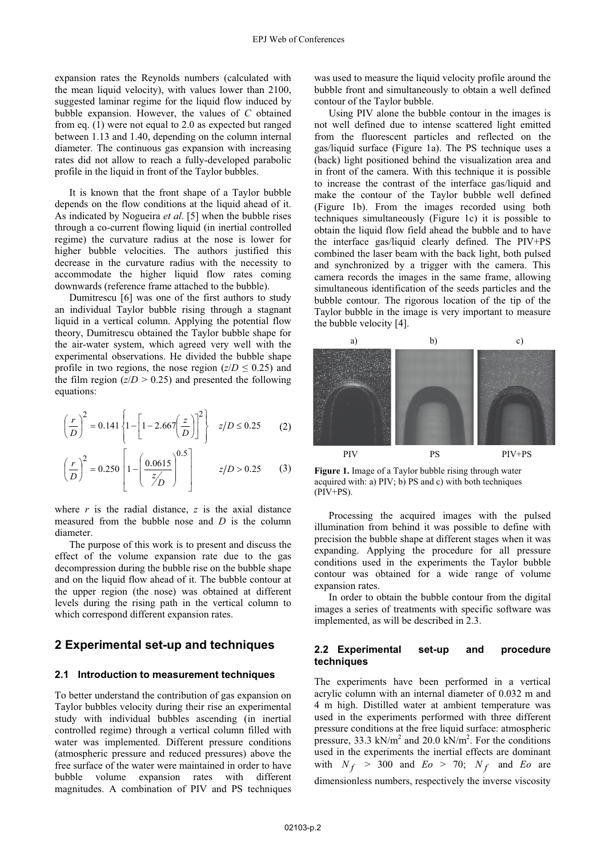expansion rates the Reynolds numbers (calculated with the mean liquid velocity), with values lower than 2100, suggested laminar regime for the liquid flow induced by bubble expansion. However, the values of *C* obtained from eq. (1) were not equal to 2.0 as expected but ranged between 1.13 and 1.40, depending on the column internal diameter. The continuous gas expansion with increasing rates did not allow to reach a fully-developed parabolic profile in the liquid in front of the Taylor bubbles.

It is known that the front shape of a Taylor bubble depends on the flow conditions at the liquid ahead of it. As indicated by Nogueira *et al*. [5] when the bubble rises through a co-current flowing liquid (in inertial controlled regime) the curvature radius at the nose is lower for higher bubble velocities. The authors justified this decrease in the curvature radius with the necessity to accommodate the higher liquid flow rates coming downwards (reference frame attached to the bubble).

Dumitrescu [6] was one of the first authors to study an individual Taylor bubble rising through a stagnant liquid in a vertical column. Applying the potential flow theory, Dumitrescu obtained the Taylor bubble shape for the air-water system, which agreed very well with the experimental observations. He divided the bubble shape profile in two regions, the nose region  $(z/D \leq 0.25)$  and the following the following the film region  $(z/D > 0.25)$  and presented the following equations:

$$
\left(\frac{r}{D}\right)^2 = 0.141 \left\{ 1 - \left[ 1 - 2.667 \left( \frac{z}{D} \right) \right]^2 \right\} \quad z/D \le 0.25 \tag{2}
$$

$$
\left(\frac{r}{D}\right)^2 = 0.250 \left[1 - \left(\frac{0.0615}{z/D}\right)^{0.5}\right] \qquad z/D > 0.25 \qquad (3)
$$

where  $r$  is the radial distance,  $z$  is the axial distance measured from the bubble nose and *D* is the column diameter.

The purpose of this work is to present and discuss the effect of the volume expansion rate due to the gas decompression during the bubble rise on the bubble shape and on the liquid flow ahead of it. The bubble contour at the upper region (the nose) was obtained at different levels during the rising path in the vertical column to which correspond different expansion rates.

## **2 Experimental set-up and techniques**

#### **2.1 Introduction to measurement techniques**

To better understand the contribution of gas expansion on Taylor bubbles velocity during their rise an experimental study with individual bubbles ascending (in inertial controlled regime) through a vertical column filled with water was implemented. Different pressure conditions (atmospheric pressure and reduced pressures) above the free surface of the water were maintained in order to have bubble volume expansion rates with different magnitudes. A combination of PIV and PS techniques

was used to measure the liquid velocity profile around the bubble front and simultaneously to obtain a well defined contour of the Taylor bubble.

Using PIV alone the bubble contour in the images is not well defined due to intense scattered light emitted from the fluorescent particles and reflected on the gas/liquid surface (Figure 1a). The PS technique uses a (back) light positioned behind the visualization area and in front of the camera. With this technique it is possible to increase the contrast of the interface gas/liquid and make the contour of the Taylor bubble well defined (Figure 1b). From the images recorded using both techniques simultaneously (Figure 1c) it is possible to obtain the liquid flow field ahead the bubble and to have the interface gas/liquid clearly defined. The PIV+PS combined the laser beam with the back light, both pulsed and synchronized by a trigger with the camera. This camera records the images in the same frame, allowing simultaneous identification of the seeds particles and the bubble contour. The rigorous location of the tip of the Taylor bubble in the image is very important to measure the bubble velocity [4].



**Figure 1.** Image of a Taylor bubble rising through water acquired with: a) PIV; b) PS and c) with both techniques  $(PIV+PS)$ .

Processing the acquired images with the pulsed illumination from behind it was possible to define with precision the bubble shape at different stages when it was expanding. Applying the procedure for all pressure conditions used in the experiments the Taylor bubble contour was obtained for a wide range of volume expansion rates.

In order to obtain the bubble contour from the digital images a series of treatments with specific software was implemented, as will be described in 2.3.

### **2.2 Experimental set-up and procedure techniques**

The experiments have been performed in a vertical acrylic column with an internal diameter of 0.032 m and 4 m high. Distilled water at ambient temperature was used in the experiments performed with three different pressure conditions at the free liquid surface: atmospheric pressure, 33.3 kN/m<sup>2</sup> and 20.0 kN/m<sup>2</sup>. For the conditions used in the experiments the inertial effects are dominant with  $N_f > 300$  and  $Eo > 70$ ;  $N_f$  and  $Eo$  are dimensionless numbers, respectively the inverse viscosity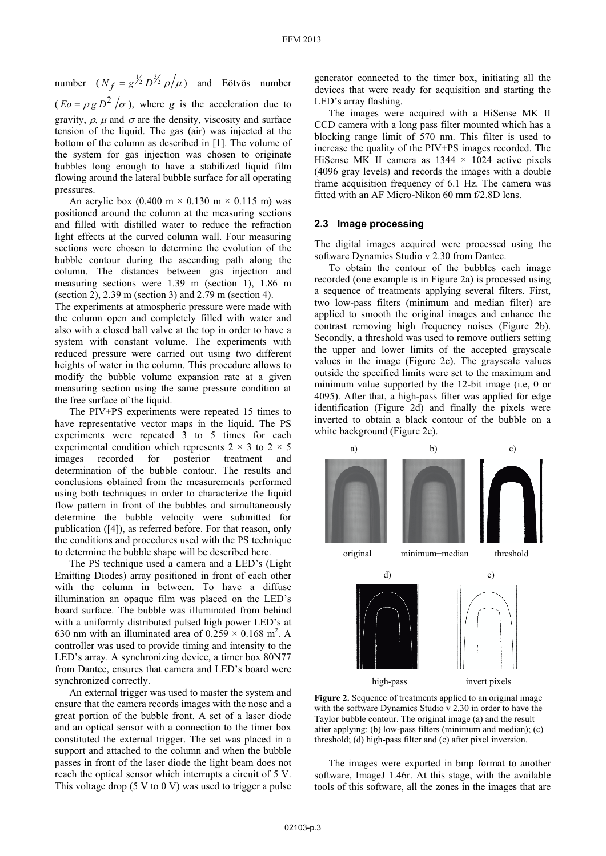number  $(N_f = g^{\frac{1}{2}} D^{\frac{3}{2}} \rho / \mu)$  and Eötvös number  $(Eo = \rho g D^2 / \sigma)$ , where *g* is the acceleration due to gravity,  $\rho$ ,  $\mu$  and  $\sigma$  are the density, viscosity and surface tension of the liquid. The gas (air) was injected at the bottom of the column as described in [1]. The volume of the system for gas injection was chosen to originate bubbles long enough to have a stabilized liquid film flowing around the lateral bubble surface for all operating pressures.

An acrylic box  $(0.400 \text{ m} \times 0.130 \text{ m} \times 0.115 \text{ m})$  was positioned around the column at the measuring sections and filled with distilled water to reduce the refraction light effects at the curved column wall. Four measuring sections were chosen to determine the evolution of the bubble contour during the ascending path along the column. The distances between gas injection and measuring sections were 1.39 m (section 1), 1.86 m (section 2), 2.39 m (section 3) and 2.79 m (section 4).

The experiments at atmospheric pressure were made with the column open and completely filled with water and also with a closed ball valve at the top in order to have a system with constant volume. The experiments with reduced pressure were carried out using two different heights of water in the column. This procedure allows to modify the bubble volume expansion rate at a given measuring section using the same pressure condition at the free surface of the liquid.

The PIV+PS experiments were repeated 15 times to have representative vector maps in the liquid. The PS experiments were repeated 3 to 5 times for each experimental condition which represents  $2 \times 3$  to  $2 \times 5$ images recorded for posterior treatment determination of the bubble contour. The results and conclusions obtained from the measurements performed using both techniques in order to characterize the liquid flow pattern in front of the bubbles and simultaneously determine the bubble velocity were submitted for publication ([4]), as referred before. For that reason, only the conditions and procedures used with the PS technique to determine the bubble shape will be described here.

The PS technique used a camera and a LED's (Light Emitting Diodes) array positioned in front of each other with the column in between. To have a diffuse illumination an opaque film was placed on the LED's board surface. The bubble was illuminated from behind with a uniformly distributed pulsed high power LED's at 630 nm with an illuminated area of  $0.259 \times 0.168$  m<sup>2</sup>. A controller was used to provide timing and intensity to the LED's array. A synchronizing device, a timer box 80N77 from Dantec, ensures that camera and LED's board were synchronized correctly.

An external trigger was used to master the system and ensure that the camera records images with the nose and a great portion of the bubble front. A set of a laser diode and an optical sensor with a connection to the timer box constituted the external trigger. The set was placed in a support and attached to the column and when the bubble passes in front of the laser diode the light beam does not reach the optical sensor which interrupts a circuit of 5 V. This voltage drop  $(5 V to 0 V)$  was used to trigger a pulse

generator connected to the timer box, initiating all the devices that were ready for acquisition and starting the LED's array flashing.

The images were acquired with a HiSense MK II CCD camera with a long pass filter mounted which has a blocking range limit of 570 nm. This filter is used to increase the quality of the PIV+PS images recorded. The HiSense MK II camera as  $1344 \times 1024$  active pixels (4096 gray levels) and records the images with a double frame acquisition frequency of 6.1 Hz. The camera was fitted with an AF Micro-Nikon 60 mm f/2.8D lens.

## **2.3 Image processing**

The digital images acquired were processed using the software Dynamics Studio v 2.30 from Dantec.

To obtain the contour of the bubbles each image recorded (one example is in Figure 2a) is processed using a sequence of treatments applying several filters. First, two low-pass filters (minimum and median filter) are applied to smooth the original images and enhance the contrast removing high frequency noises (Figure 2b). Secondly, a threshold was used to remove outliers setting the upper and lower limits of the accepted grayscale values in the image (Figure 2c). The grayscale values outside the specified limits were set to the maximum and minimum value supported by the 12-bit image (i.e, 0 or 4095). After that, a high-pass filter was applied for edge identification (Figure 2d) and finally the pixels were inverted to obtain a black contour of the bubble on a white background (Figure 2e).



**Figure 2.** Sequence of treatments applied to an original image with the software Dynamics Studio v 2.30 in order to have the Taylor bubble contour. The original image (a) and the result after applying: (b) low-pass filters (minimum and median); (c) threshold; (d) high-pass filter and (e) after pixel inversion.

The images were exported in bmp format to another software, ImageJ 1.46r. At this stage, with the available tools of this software, all the zones in the images that are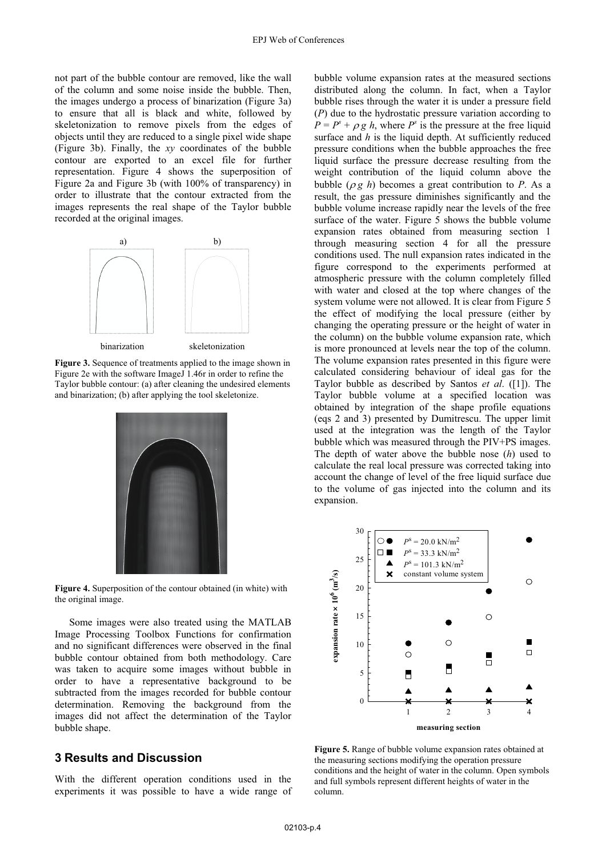not part of the bubble contour are removed, like the wall of the column and some noise inside the bubble. Then, the images undergo a process of binarization (Figure 3a) to ensure that all is black and white, followed by skeletonization to remove pixels from the edges of objects until they are reduced to a single pixel wide shape (Figure 3b). Finally, the *xy* coordinates of the bubble contour are exported to an excel file for further representation. Figure 4 shows the superposition of Figure 2a and Figure 3b (with 100% of transparency) in order to illustrate that the contour extracted from the images represents the real shape of the Taylor bubble recorded at the original images.



**Figure 3.** Sequence of treatments applied to the image shown in Figure 2e with the software ImageJ 1.46r in order to refine the Taylor bubble contour: (a) after cleaning the undesired elements and binarization; (b) after applying the tool skeletonize.



**Figure 4.** Superposition of the contour obtained (in white) with the original image.

Some images were also treated using the MATLAB Image Processing Toolbox Functions for confirmation and no significant differences were observed in the final bubble contour obtained from both methodology. Care was taken to acquire some images without bubble in order to have a representative background to be subtracted from the images recorded for bubble contour determination. Removing the background from the images did not affect the determination of the Taylor bubble shape.

## **3** Results and Discussion

With the different operation conditions used in the experiments it was possible to have a wide range of expansion. bubble volume expansion rates at the measured sections distributed along the column. In fact, when a Taylor bubble rises through the water it is under a pressure field (*P*) due to the hydrostatic pressure variation according to  $P = P<sup>s</sup> + \rho g h$ , where *P<sup>s</sup>* is the pressure at the free liquid surface and *h* is the liquid denth. At sufficiently reduced surface and *h* is the liquid depth. At sufficiently reduced pressure conditions when the bubble approaches the free liquid surface the pressure decrease resulting from the weight contribution of the liquid column above the bubble  $(\rho g h)$  becomes a great contribution to *P*. As a result, the gas pressure diminishes significantly and the bubble volume increase rapidly near the levels of the free surface of the water. Figure 5 shows the bubble volume expansion rates obtained from measuring section 1 through measuring section 4 for all the pressure conditions used. The null expansion rates indicated in the figure correspond to the experiments performed at atmospheric pressure with the column completely filled with water and closed at the top where changes of the system volume were not allowed. It is clear from Figure 5 the effect of modifying the local pressure (either by changing the operating pressure or the height of water in the column) on the bubble volume expansion rate, which is more pronounced at levels near the top of the column. The volume expansion rates presented in this figure were calculated considering behaviour of ideal gas for the Taylor bubble as described by Santos *et al*. ([1]). The Taylor bubble volume at a specified location was obtained by integration of the shape profile equations (eqs 2 and 3) presented by Dumitrescu. The upper limit used at the integration was the length of the Taylor bubble which was measured through the PIV+PS images. The depth of water above the bubble nose (*h*) used to calculate the real local pressure was corrected taking into account the change of level of the free liquid surface due to the volume of gas injected into the column and its



conditions and the height of water in the column. Open symbols and full symbols represent different heights of water in the column. **Figure 5.** Range of bubble volume expansion rates obtained at the measuring sections modifying the operation pressure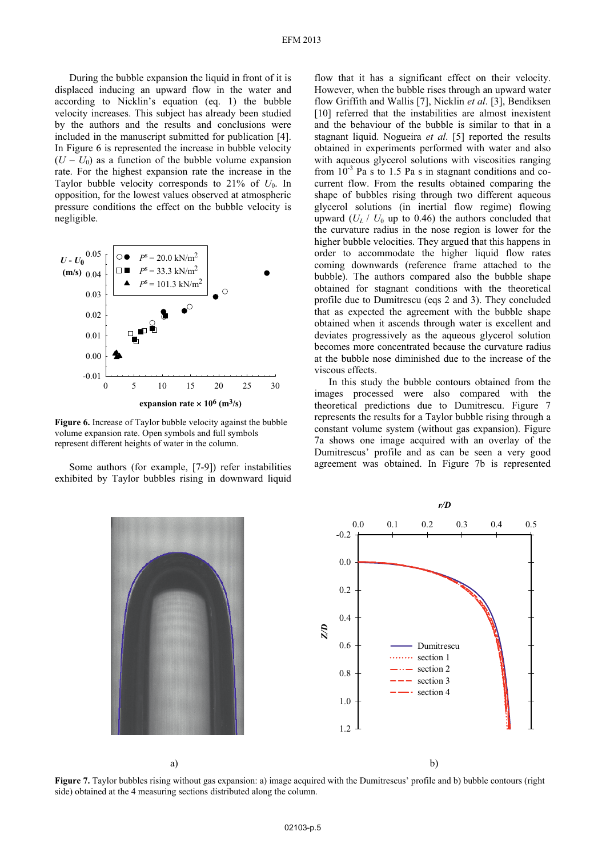velocity increases. This subject has already been studied by the authors and the results and conclusions were inc luded in the manuscript submitted for publication [4]. During the bubble expansion the liquid in front of it is displaced inducing an upward flow in the water and according to Nicklin's equation (eq. 1) the bubble In Figure 6 is represented the increase in bubble velocity  $(U - U_0)$  as a function of the bubble volume expansion rate. For the highest expansion rate the increase in the Taylor bubble velocity corresponds to  $21\%$  of  $U_0$ . In opposition, for the lowest values observed at atmospheric pressure conditions the effect on the bubble velocity is negligible.



**Figure 6.** Increase of Taylor bubble velocity against the bubble volume expansion rate. Open symbols and full symbols represent different heights of water in the column.

exhibited by Taylor bubbles rising in downward liquid Some authors (for example, [7-9]) refer instabilities

flo w that it has a significant effect on their velocity. However, when the bubble rises through an upward water flow Griffith and Wallis [7], Nicklin *et al*. [3], Bendiksen [10] referred that the instabilities are almost inexistent and the behaviour of the bubble is similar to that in a stagnant liquid. Nogueira *et al*. [5] reported the results obtained in experiments performed with water and also with aqueous glycerol solutions with viscosities ranging from  $10^{-3}$  Pa s to 1.5 Pa s in stagnant conditions and cocurrent flow. From the results obtained comparing the shape of bubbles rising through two different aqueous glycerol solutions (in inertial flow regime) flowing upward  $(U_I / U_0$  up to 0.46) the authors concluded that the curvature radius in the nose region is lower for the higher bubble velocities. They argued that this happens in order to accommodate the higher liquid flow rates coming downwards (reference frame attached to the bubble). The authors compared also the bubble shape obtained for stagnant conditions with the theoretical profile due to Dumitrescu (eqs 2 and 3). They concluded that as expected the agreement with the bubble shape obtained when it ascends through water is excellent and deviates progressively as the aqueous glycerol solution becomes more concentrated because the curvature radius at the bubble nose diminished due to the increase of the viscous effects.

images processed were also compared with the the oretical predictions due to Dumitrescu. Figure 7 In this study the bubble contours obtained from the represents the results for a Taylor bubble rising through a constant volume system (without gas expansion). Figure 7a shows one image acquired with an overlay of the Dumitrescus' profile and as can be seen a very good agreement was obtained. In Figure 7b is represented



**Figure 7.** Taylor bubbles rising without gas expansion: a) image acquired with the Dumitrescus' profile and b) bubble contours (right side) obtained at the 4 measuring sections distributed along the column.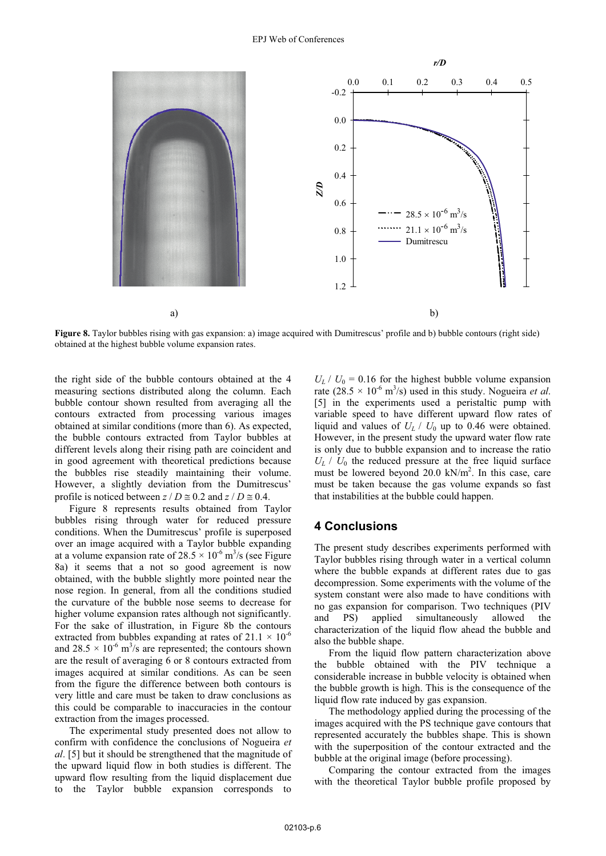

**Figure 8.** Taylor bubbles rising with gas expansion: a) image acquired with Dumitrescus' profile and b) bubble contours (right side) obtained at the highest bubble volume expansion rates obtained at the highest bubble volume expansion rates.

the right side of the bubble contours obtained at the 4 obtained at similar conditions (more than 6). As expected, the bubble contours extracted from Taylor bubbles at bubble contour shown resulted from averaging all the contours extracted from processing various images different levels along their rising path are coincident and in good agreement with theoretical predictions because the bubbles rise steadily maintaining their volume. However, a slightly deviation from the Dumitrescus' profile is noticed between  $z / D \approx 0.2$  and  $z / D \approx 0.4$ .

Figure 8 represents results obtained from Taylor bubbles rising through water for reduced pressure conditions. When the Dumitrescus' profile is superposed over an image acquired with a Taylor bubble expanding at a volume expansion rate of  $28.5 \times 10^{-6}$  m<sup>3</sup>/s (see Figure 8a) it seems that a not so good agreement is now obtained, with the bubble slightly more pointed near the nose region. In general, from all the conditions studied the curvature of the bubble nose seems to decrease for higher volume expansion rates although not significantly. For the sake of illustration, in Figure 8b the contours extracted from bubbles expanding at rates of  $21.1 \times 10^{-6}$ and  $28.5 \times 10^{-6}$  m<sup>3</sup>/s are represented; the contours shown are the result of averaging 6 or 8 contours extracted from images acquired at similar conditions. As can be seen from the figure the difference between both contours is very little and care must be taken to draw conclusions as this could be comparable to inaccuracies in the contour extraction from the images processed.

to the Taylor bubble expansion corresponds to The experimental study presented does not allow to confirm with confidence the conclusions of Nogueira *et al*. [5] but it should be strengthened that the magnitude of the upward liquid flow in both studies is different. The upward flow resulting from the liquid displacement due

 $U_L$  /  $U_0$  = 0.16 for the highest bubble volume expansion measuring sections distributed along the column. Each a rate  $(28.5 \times 10^{-6} \text{ m}^3/\text{s})$  used in this study. Nogueira *et al.*<br>bubble contour shown resulted from averaging all the  $\frac{51}{10}$  in the experiments used a peri variable speed to have different upward flow rates of liquid and values of  $U_L$  /  $U_0$  up to 0.46 were obtained. However, in the present study the upward water flow rate [5] in the experiments used a peristaltic pump with is only due to bubble expansion and to increase the ratio  $U_L$  /  $U_0$  the reduced pressure at the free liquid surface must be lowered beyond 20.0 kN/m<sup>2</sup>. In this case, care must be taken because the gas volume expands so fast that instabilities at the bubble could happen.

## **4 Conclusions**

The present study describes experiments performed with Taylor bubbles rising through water in a vertical column where the bubble expands at different rates due to gas decompression. Some experiments with the volume of the system constant were also made to have conditions with no gas expansion for comparison. Two techniques (PIV and PS) applied simultaneously allowed the characterization of the liquid flow ahead the bubble and also the bubble shape.

the bubble obtained with the PIV technique a considerable increase in bubble velocity is obtained when the bubble growth is high. This is the consequence of the liquid flow rate induced by gas expansion. From the liquid flow pattern characterization above

The methodology applied during the processing of the images acquired with the PS technique gave contours that represented accurately the bubbles shape. This is shown with the superposition of the contour extracted and the bubble at the original image (before processing).

Comparing the contour extracted from the images with the theoretical Taylor bubble profile proposed by